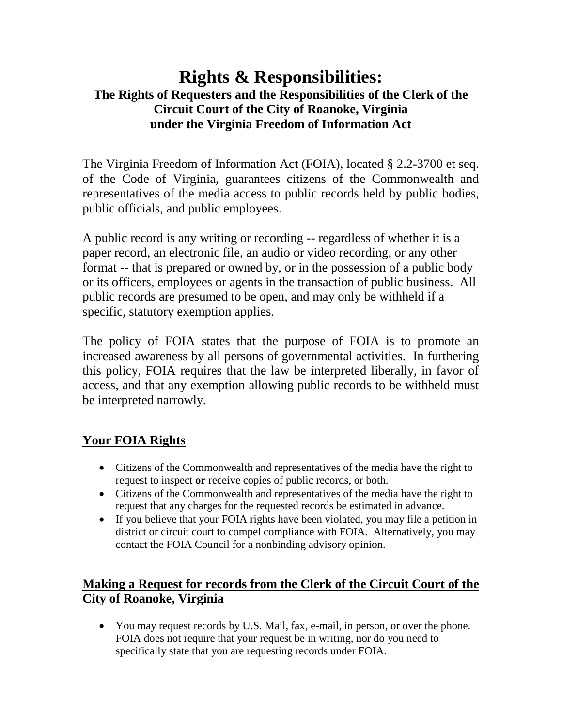# **Rights & Responsibilities: The Rights of Requesters and the Responsibilities of the Clerk of the Circuit Court of the City of Roanoke, Virginia under the Virginia Freedom of Information Act**

The Virginia Freedom of Information Act (FOIA), located § 2.2-3700 et seq. of the Code of Virginia, guarantees citizens of the Commonwealth and representatives of the media access to public records held by public bodies, public officials, and public employees.

A public record is any writing or recording -- regardless of whether it is a paper record, an electronic file, an audio or video recording, or any other format -- that is prepared or owned by, or in the possession of a public body or its officers, employees or agents in the transaction of public business. All public records are presumed to be open, and may only be withheld if a specific, statutory exemption applies.

The policy of FOIA states that the purpose of FOIA is to promote an increased awareness by all persons of governmental activities. In furthering this policy, FOIA requires that the law be interpreted liberally, in favor of access, and that any exemption allowing public records to be withheld must be interpreted narrowly.

## **Your FOIA Rights**

- Citizens of the Commonwealth and representatives of the media have the right to request to inspect **or** receive copies of public records, or both.
- Citizens of the Commonwealth and representatives of the media have the right to request that any charges for the requested records be estimated in advance.
- If you believe that your FOIA rights have been violated, you may file a petition in district or circuit court to compel compliance with FOIA. Alternatively, you may contact the FOIA Council for a nonbinding advisory opinion.

## **Making a Request for records from the Clerk of the Circuit Court of the City of Roanoke, Virginia**

• You may request records by U.S. Mail, fax, e-mail, in person, or over the phone. FOIA does not require that your request be in writing, nor do you need to specifically state that you are requesting records under FOIA.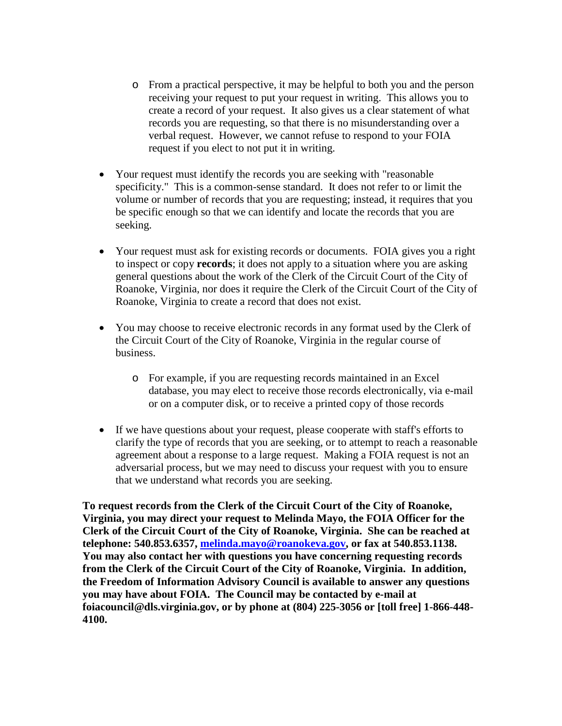- o From a practical perspective, it may be helpful to both you and the person receiving your request to put your request in writing. This allows you to create a record of your request. It also gives us a clear statement of what records you are requesting, so that there is no misunderstanding over a verbal request. However, we cannot refuse to respond to your FOIA request if you elect to not put it in writing.
- Your request must identify the records you are seeking with "reasonable" specificity." This is a common-sense standard. It does not refer to or limit the volume or number of records that you are requesting; instead, it requires that you be specific enough so that we can identify and locate the records that you are seeking.
- Your request must ask for existing records or documents. FOIA gives you a right to inspect or copy **records**; it does not apply to a situation where you are asking general questions about the work of the Clerk of the Circuit Court of the City of Roanoke, Virginia, nor does it require the Clerk of the Circuit Court of the City of Roanoke, Virginia to create a record that does not exist.
- You may choose to receive electronic records in any format used by the Clerk of the Circuit Court of the City of Roanoke, Virginia in the regular course of business.
	- o For example, if you are requesting records maintained in an Excel database, you may elect to receive those records electronically, via e-mail or on a computer disk, or to receive a printed copy of those records
- If we have questions about your request, please cooperate with staff's efforts to clarify the type of records that you are seeking, or to attempt to reach a reasonable agreement about a response to a large request. Making a FOIA request is not an adversarial process, but we may need to discuss your request with you to ensure that we understand what records you are seeking.

**To request records from the Clerk of the Circuit Court of the City of Roanoke, Virginia, you may direct your request to Melinda Mayo, the FOIA Officer for the Clerk of the Circuit Court of the City of Roanoke, Virginia. She can be reached at telephone: 540.853.6357, [melinda.mayo@roanokeva.gov,](mailto:melinda.mayo@roanokeva.gov) or fax at 540.853.1138. You may also contact her with questions you have concerning requesting records from the Clerk of the Circuit Court of the City of Roanoke, Virginia. In addition, the Freedom of Information Advisory Council is available to answer any questions you may have about FOIA. The Council may be contacted by e-mail at foiacouncil@dls.virginia.gov, or by phone at (804) 225-3056 or [toll free] 1-866-448- 4100.**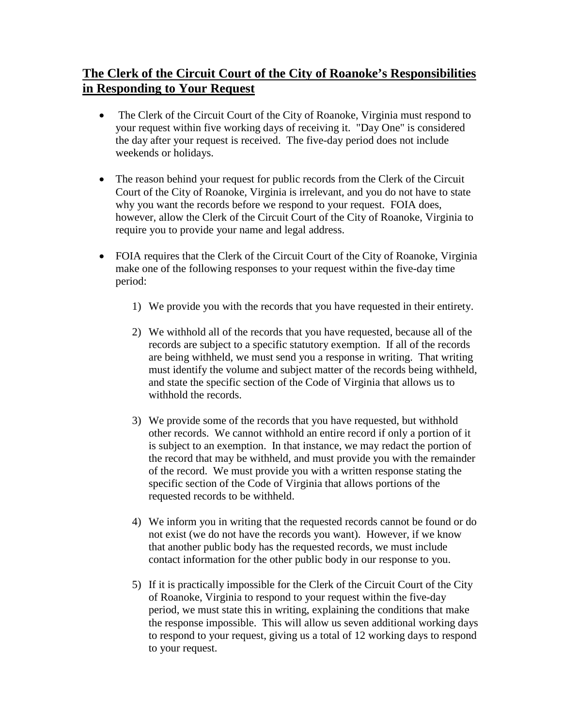## **The Clerk of the Circuit Court of the City of Roanoke's Responsibilities in Responding to Your Request**

- The Clerk of the Circuit Court of the City of Roanoke, Virginia must respond to your request within five working days of receiving it. "Day One" is considered the day after your request is received. The five-day period does not include weekends or holidays.
- The reason behind your request for public records from the Clerk of the Circuit Court of the City of Roanoke, Virginia is irrelevant, and you do not have to state why you want the records before we respond to your request. FOIA does, however, allow the Clerk of the Circuit Court of the City of Roanoke, Virginia to require you to provide your name and legal address.
- FOIA requires that the Clerk of the Circuit Court of the City of Roanoke, Virginia make one of the following responses to your request within the five-day time period:
	- 1) We provide you with the records that you have requested in their entirety.
	- 2) We withhold all of the records that you have requested, because all of the records are subject to a specific statutory exemption. If all of the records are being withheld, we must send you a response in writing. That writing must identify the volume and subject matter of the records being withheld, and state the specific section of the Code of Virginia that allows us to withhold the records.
	- 3) We provide some of the records that you have requested, but withhold other records. We cannot withhold an entire record if only a portion of it is subject to an exemption. In that instance, we may redact the portion of the record that may be withheld, and must provide you with the remainder of the record. We must provide you with a written response stating the specific section of the Code of Virginia that allows portions of the requested records to be withheld.
	- 4) We inform you in writing that the requested records cannot be found or do not exist (we do not have the records you want). However, if we know that another public body has the requested records, we must include contact information for the other public body in our response to you.
	- 5) If it is practically impossible for the Clerk of the Circuit Court of the City of Roanoke, Virginia to respond to your request within the five-day period, we must state this in writing, explaining the conditions that make the response impossible. This will allow us seven additional working days to respond to your request, giving us a total of 12 working days to respond to your request.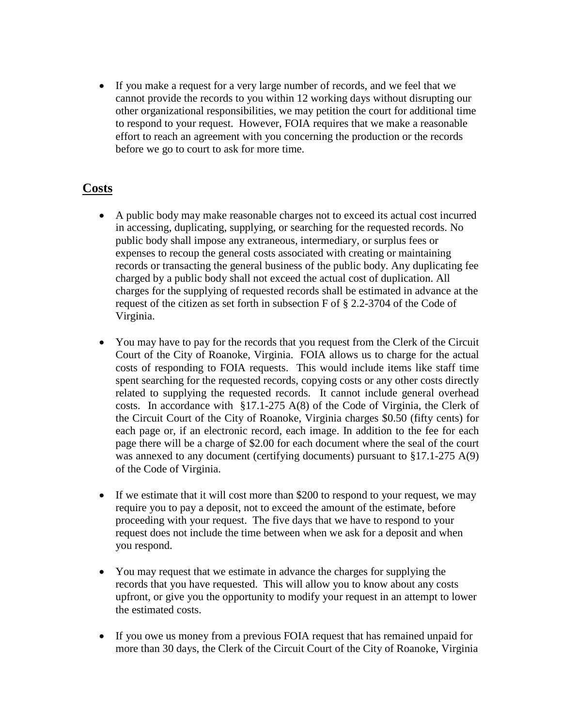• If you make a request for a very large number of records, and we feel that we cannot provide the records to you within 12 working days without disrupting our other organizational responsibilities, we may petition the court for additional time to respond to your request. However, FOIA requires that we make a reasonable effort to reach an agreement with you concerning the production or the records before we go to court to ask for more time.

#### **Costs**

- A public body may make reasonable charges not to exceed its actual cost incurred in accessing, duplicating, supplying, or searching for the requested records. No public body shall impose any extraneous, intermediary, or surplus fees or expenses to recoup the general costs associated with creating or maintaining records or transacting the general business of the public body. Any duplicating fee charged by a public body shall not exceed the actual cost of duplication. All charges for the supplying of requested records shall be estimated in advance at the request of the citizen as set forth in subsection F of § 2.2-3704 of the Code of Virginia.
- You may have to pay for the records that you request from the Clerk of the Circuit Court of the City of Roanoke, Virginia. FOIA allows us to charge for the actual costs of responding to FOIA requests. This would include items like staff time spent searching for the requested records, copying costs or any other costs directly related to supplying the requested records. It cannot include general overhead costs. In accordance with §17.1-275 A(8) of the Code of Virginia, the Clerk of the Circuit Court of the City of Roanoke, Virginia charges \$0.50 (fifty cents) for each page or, if an electronic record, each image. In addition to the fee for each page there will be a charge of \$2.00 for each document where the seal of the court was annexed to any document (certifying documents) pursuant to  $\S 17.1$ -275 A(9) of the Code of Virginia.
- If we estimate that it will cost more than \$200 to respond to your request, we may require you to pay a deposit, not to exceed the amount of the estimate, before proceeding with your request. The five days that we have to respond to your request does not include the time between when we ask for a deposit and when you respond.
- You may request that we estimate in advance the charges for supplying the records that you have requested. This will allow you to know about any costs upfront, or give you the opportunity to modify your request in an attempt to lower the estimated costs.
- If you owe us money from a previous FOIA request that has remained unpaid for more than 30 days, the Clerk of the Circuit Court of the City of Roanoke, Virginia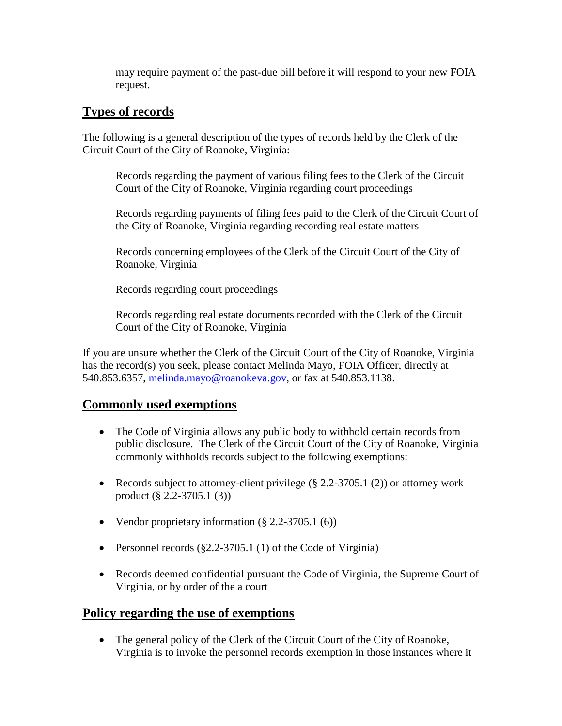may require payment of the past-due bill before it will respond to your new FOIA request.

#### **Types of records**

The following is a general description of the types of records held by the Clerk of the Circuit Court of the City of Roanoke, Virginia:

Records regarding the payment of various filing fees to the Clerk of the Circuit Court of the City of Roanoke, Virginia regarding court proceedings

Records regarding payments of filing fees paid to the Clerk of the Circuit Court of the City of Roanoke, Virginia regarding recording real estate matters

Records concerning employees of the Clerk of the Circuit Court of the City of Roanoke, Virginia

Records regarding court proceedings

Records regarding real estate documents recorded with the Clerk of the Circuit Court of the City of Roanoke, Virginia

If you are unsure whether the Clerk of the Circuit Court of the City of Roanoke, Virginia has the record(s) you seek, please contact Melinda Mayo, FOIA Officer, directly at 540.853.6357, [melinda.mayo@roanokeva.gov,](mailto:melinda.mayo@roanokeva.gov) or fax at 540.853.1138.

#### **Commonly used exemptions**

- The Code of Virginia allows any public body to withhold certain records from public disclosure. The Clerk of the Circuit Court of the City of Roanoke, Virginia commonly withholds records subject to the following exemptions:
- Records subject to attorney-client privilege (§ 2.2-3705.1 (2)) or attorney work product (§ 2.2-3705.1 (3))
- Vendor proprietary information  $(\S 2.2 3705.1 \(6))$
- Personnel records (§2.2-3705.1 (1) of the Code of Virginia)
- Records deemed confidential pursuant the Code of Virginia, the Supreme Court of Virginia, or by order of the a court

#### **Policy regarding the use of exemptions**

• The general policy of the Clerk of the Circuit Court of the City of Roanoke, Virginia is to invoke the personnel records exemption in those instances where it